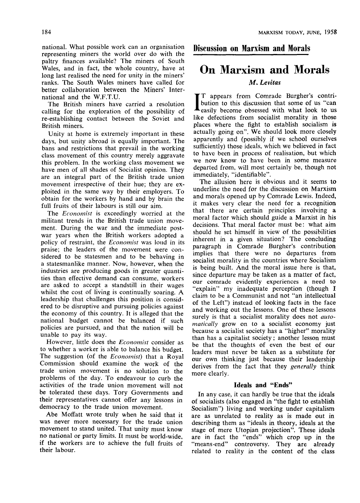national. What possible work can an organisation representing miners the world over do with the paltry finances available? The miners of South Wales, and in fact, the whole country, have at long last realised the need for unity in the miners' ranks. The South Wales miners have called for better collaboration between the Miners' International and the W.F.T.U.

The British miners have carried a resolution calling for the exploration of the possibility of re-establishing contact between the Soviet and British miners.

Unity at home is extremely important in these days, but unity abroad is equally important. The bans and restrictions that prevail in the working class movement of this country merely aggravate this problem. In the working class movement we have men of all shades of Socialist opinion. They are an integral part of the British trade union movement irrespective of their hue; they are exploited in the same way by their employers. To obtain for the workers by hand and by brain the full fruits of their labours is still our aim.

The *Economist* is exceedingly worried at the militant trends in the British trade union movement. During the war and the immediate postwar years when the British workers adopted a policy of restraint, the *Economist* was loud in its praise; the leaders of the movement were considered to be statesmen and to be behaving in a statesmanlike manner. Now, however, when the industries are producing goods in greater quantities than effective demand can consume, workers are asked to accept a standstill in their wages whilst the cost of living is continually soaring. A leadership that challenges this position is considered to be disruptive and pursuing policies against the economy of this country. It is alleged that the national budget cannot be balanced if such policies are pursued, and that the nation will be unable to pay its way.

However, little does the *Economist* consider as to whether a worker is able to balance his budget. The suggestion (of the *Economist)* that a Royal Commission should examine the work of the trade union movement is no solution to the problems of the day. To endeavour to curb the activities of the trade union movement will not be tolerated these days. Tory Governments and their representatives cannot offer any lessons in democracy to the trade union movement.

Abe Moffatt wrote truly when he said that it was never more necessary for the trade union movement to stand united. That unity must know no national or party limits. It must be world-wide, if the workers are to achieve the full fruits of their labour.

Discussion on Marxism and Morals

## On Marxism and Morals

## *M. Levitas*

IT appears from Comrade Burgher's contri-<br>bution to this discussion that some of us "can<br>easily become obsessed with what look to us T appears from Comrade Burgher's contribution to this discussion that some of us "can like defections from socialist morality in those places where the fight to establish socialism is actually going on". We should look more closely apparently and (possibly if we school ourselves sufficiently) those ideals, which we believed in fact to have been in process of realisation, but which we now know to have been in some measure departed from, will most certainly be, though not immediately, "identifiable".

The allusion here is obvious and it seems to underline the need for the discussion on Marxism and morals opened up by Comrade Lewis. Indeed, it makes very clear the need for a recognition that there are certain principles involving a moral factor which should guide a Marxist in his decisions. That moral factor must be: what aim should he set himself in view of the possibilities inherent in a given situation? The concluding paragraph in Comrade Burgher's contribution implies that there were no departures from socialist morality in the countries where Socialism is being built. And the moral issue here is that, since departure may be taken as a matter of fact, our comrade evidently experiences a need to "explain" my inadequate perception (though I claim to be a Communist and not "an intellectual of the Left") instead of looking facts in the face and working out the lessons. One of these lessons surely is that a socialist morality does not *automatically* grow on to a socialist economy just because a socialist society has a "higher" morality than has a capitalist society; another lesson must be that the thoughts of even the best of our leaders must never be taken as a substitute for our own thinking just because their leadership derives from the fact that they *generally* think more clearly.

#### **Ideals and "Ends"**

**In** any case, it can hardly be true that the ideals of socialists (also engaged in "the fight to establish Socialism") living and working under capitalism are as unrelated to reality as is made out in describing them as "ideals in theory, ideals at the stage of mere Utopian projection". These ideals are in fact the "ends" which crop up in the "means-end" controversy. They are already related to reality in the content of the class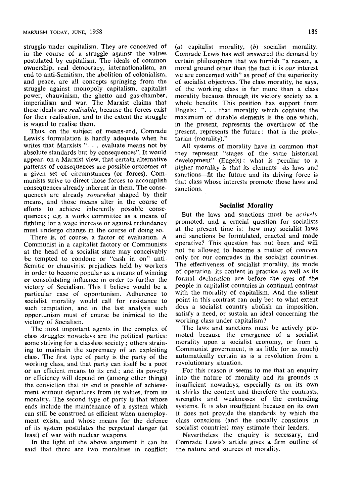struggle under capitalism. They are conceived of in the course of a struggle against the values postulated by capitalism. The ideals of common ovraership, real democracy, internationalism, an end to anti-Semitism, the abolition of colonialism, and peace, are all concepts springing from the struggle against monopoly capitalism, capitalist power, chauvinism, the ghetto and gas-chamber, imperialism and war. The Marxist claims that these ideals are *realisable,* because the forces exist for their realisation, and to the extent the struggle is waged to realise them.

Thus, on the subject of means-end. Comrade Lewis's formulation is hardly adequate when he writes that Marxists ". . . evaluate means not by absolute standards but by consequences". It would appear, on a Marxist view, that certain alternative patterns of consequences are possible outcomes of a given set of circumstances (or forces). Communists strive to direct those forces to accomplish consequences already inherent in them. The consequences are already *somewhat* shaped by their means, and those means alter in the course of efforts to achieve inherently possible consequences ; e.g. a works committee as a means of fighting for a wage increase or against redundancy must undergo change in the course of doing so.

There is, of course, a factor of evaluation. A Communist in a capitalist factory or Communists at the head of a socialist state may conceivably be tempted to condone or "cash in on" anti-Semitic or chauvinist prejudices held by workers in order to become popular as a means of winning or consolidating influence in order to further the victory of Socialism. This I believe would be a particular case of opportunism. Adherence to socialist morality would call for resistance to such temptation, and in the last analysis such opportunism must of course be inimical to the victory of Socialism.

The most important agents in the complex of class struggles nowadays are the political parties: some striving for a classless society; others straining to maintain the supremacy of an exploiting class. The first type of party is the party of the working class, and that party can itself be a poor or an efficient means to its end; and its poverty or efficiency will depend on (among other things) the conviction that its end is possible of achievement without departures from its values, from its morality. The second type of party is that whose ends include the maintenance of a system which can still be construed as efficient when unemployment exists, and whose means for the defence of its system postulates the perpetual danger (at least) of war with nuclear weapons.

In the light of the above argument it can be said that there are two moralities in conflict: *(a)* capitalist morality, *(b)* socialist morality. Comrade Lewis has well answered the demand by certain philosophers that we furnish "a reason, a moral ground other than the fact it is *our* interest we are concerned with" as proof of the superiority of socialist objectives. The class morality, he says, of the working class is far more than a class morality because through its victory society as a whole benefits. This position has support from Engels: ". . . that morality which contains the maximum of durable elements is the one which, in the present, represents the overthrow of the present, represents the future: that is the proletarian (morality)."

All systems of morality have in common that they represent "stages of the same historical development" (Engels); what is peculiar to a higher morality is that its elements—its laws and sanctions—fit the future and its driving force is that class whose interests promote those laws and sanctions.

#### **Socialist Morality**

But the laws and sanctions must be *actively*  promoted, and a crucial question for socialists at the present time is: how may socialist laws and sanctions be formulated, enacted and made operative? This question has not been and will not be allowed to become a matter of *concern*  only for our comrades in the socialist countries. The effectiveness of socialist morality, its mode of operation, its content in practice as well as its formal declaration are before the eyes of the people in capitalist countries in continual contrast with the morality of capitalism. And the salient point in this contrast can only be: to what extent does a socialist country abolish an imposition, satisfy a need, or sustain an ideal concerning the working class under capitalism?

The laws and sanctions must be actively promoted because the emergence of a socialist morality upon a socialist economy, or from a Communist government, is as little (or as much) automatically certain as is a revolution from a revolutionary situation.

For this reason it seems to me that an enquiry into the nature of morality and its grounds is insufficient nowadays, especially as on its own it shirks the content and therefore the contrasts, strengths and weaknesses of the contending systems. It is also insufficient because on its own it does not provide the standards by which the class conscious (and the socially conscious in socialist countries) may estimate their leaders.

Nevertheless the enquiry is necessary, and Comrade Lewis's article gives a firm outline of the nature and sources of morality.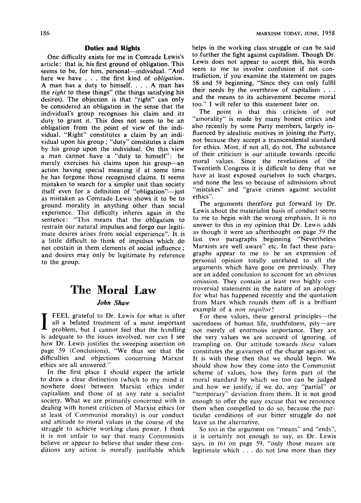#### **Duties and Rights**

One difficulty exists for me in Comrade Lewis's article: that is, his first ground of obligation. This seems to be, for him, personal—individual. "And here we have . . . the first kind of *obligation.*  A man has a duty to himself. .. . A man has the *right* to these things" (the things satisfying his desires). The objection is that "right" can only be considered an obligation in the sense that the individual's group recognises his claim and its duty to grant it. This does not seem to be an obligation from the point of view of the individual. "Right" constitutes a claim by an individual upon his group; "duty" constitutes a claim by his group upon the individual. On this view a man cannot have a "duty to himself": he merely exercises his claims upon his group—an action having special meaning if at some time he has forgone those recognised claims. It seems mistaken to search for a simpler unit than society itself even for a definition of "obligation"—just as mistaken as Comrade Lewis shows it to be to ground morality in anything other than social experience. This difficulty inheres again in the sentence: "This means that the obligation to restrain our natural impulses and forgo our legitimate desires arises from social experience". It is a little difficult to think of impulses which do not contain in them elements of social influence; and desires may only be legitimate by reference to the group.

## **The Moral Law**

## *John Shaw*

I FEEL grateful to Dr. Lewis for what is after all a belated treatment of a most important problem, but I cannot feel that the handling is adequate to the issues involved, nor can I see how Dr. Lewis justifies the sweeping assertion on page 59 (Conclusions), "We thus see that the difficulties and objections concerning Marxist ethics are all answered."

In the first place I should expect the article to draw a clear distinction (which to my mind it nowhere does) between Marxist ethics under capitalism and those of at any rate a socialist society. What we are primarily concerned with in dealing with honest criticism of Marxist ethics (or at least of Communist morality) is our conduct and attitude to moral values in the course of the struggle to achieve working class power. I think it is not unfair to say that many Communists believe or appear to believe that under these conditions any action is morally justifiable which helps in the working class struggle or can be said to further the fight against capitalism. Though Dr. Lewis does not appear to accept this, his words seem to me to involve confusion if not contradiction, if you examine the statement on pages 58 and 59 beginning, "Since they can only fulfil their needs by the overthrow of capitalism . . . and the means to its achievement become moral too." I will refer to this statement later on.

The point is that this criticism of our "amorality" is made by many honest critics and also recently by some Party members, largely influenced by idealistic motives in joining the Party, not because they accept a transcendental standard for ethics. Most, if not all, do not. The substance of their criticism is our attitude towards specific moral values. Since the revelations of the Twentieth Congress it is difficult to deny that we have at least exposed ourselves to such charges, and none the less so because of admissions about "mistakes" and "grave crimes against socialist ethics".

The arguments therefore put forward by Dr. Lewis about the materialist basis of conduct seems to me to begin with the wrong emphasis. It is no answer to this in my opinion that Dr. Lewis adds as though it were an afterthought on page 59 the last two paragraphs beginning "Nevertheless Marxists are well aware" etc. In fact these paragraphs appear to me to be an expression of personal opinion totally unrelated to all the arguments which have gone on previously. They are an added conclusion to account for an obvious omission. They contain at least two highly controversial statements in the nature of an apology for what has happened recently and the quotation from Marx which rounds them off is a brilliant example of a *non sequitur!* 

For these values, these general principles—the sacredness of human life, truthfulness, pity—are not merely of enormous importance. They are the very values we are accused of ignoring, of trampling on. Our attitude towards *these* values constitutes the giavamen of the charge against us. It is with these then that we should begin. We should show how they come into the Communist scheme of values, how they form part of the moral standard by which we too can be judged and how we justify, if we do, any "partial" or "temporary" deviation from them. It is not good enough to offer the easy excuse that we renounce them when compelled to do so, because the particular conditions of our bitter struggle do not leave us the alternative.

So too in the argument on "means" and "ends", it is certainly not enough to say, as Dr. Lewis says, in (6) on page 59, "only those means are legitimate which .. . do not lose more than they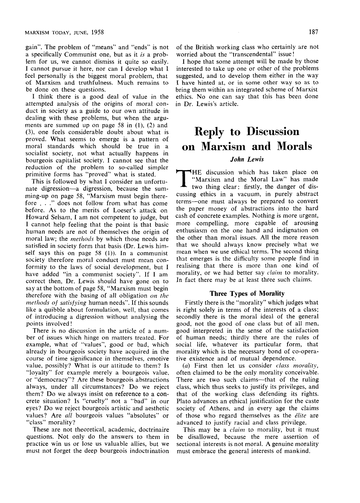gain". The problem of "means" and "ends" is not a specifically Communist one, but as it *is* a problem for us, we cannot dismiss it quite so easily. I cannot pursue it here, nor can I develop what I feel personally is the biggest moral problem, that of Marxism and truthfulness. Much remains to be done on these questions.

I think there is a good deal of value in the attempted analysis of the origins of moral conduct in society as a guide to our own attitude in dealing with these problems, but when the arguments are summed up on page 58 in (1), (2) and (3), one feels considerable doubt about what is proved. What seems to emerge is a pattern of moral standards which should be true in a socialist society, not what actually happens in bourgeois capitalist society. I cannot see that the reduction of the problem to so-called simpler primitive forms has "proved" what is stated.

This is followed by what I consider an unfortunate digression—a digression, because the summing-up on page 58, "Marxism must begin therefore . . ." does not follow from what has come before. As to the merits of Loeser's attack on Howard Selsam, I am not competent to judge, but I cannot help feeling that the point is that basic human needs are not of themselves the origin of moral law; the *methods* by which those needs are satisfied in society form that basis (Dr. Lewis himself says this on page 58 (1)). In a communist society therefore moral conduct must mean conformity to the laws of social development, but I have added "in a communist society". If I am correct then, Dr. Lewis should have gone on to say at the bottom of page 58, "Marxism must begin therefore with the basing of all obligation *on the methods of satisfying* human needs". If this sounds like a quibble about formulation, well, that comes of introducing a digression without analysing the points involved!

There is no discussion in the article of a number of issues which hinge on matters treated. For example, what of "values", good or bad, which already in bourgeois society have acquired in the course of time significance in themselves, emotive value, possibly? What is our attitude to them? Is "loyalty" for example merely a bourgeois value, or "democracy"? Are these bourgeois abstractions always, under all circumstances? Do we reject them? Do we always insist on reference to a concrete situation? Is "cruelty" not a "bad" in our eyes? Do we reject bourgeois artistic and aesthetic values? Are *all* bourgeois values "absolutes" or "class" morality?

These are not theoretical, academic, doctrinaire questions. Not only do the answers to them in practice win us or lose us valuable allies, but we must not forget the deep bourgeois indoctrination of the British working class who certainly are not worried about the "transcendental" issue!

I hope that some attempt will be made by those interested to take up one or other of the problems suggested, and to develop them either in the way I have hinted at, or in some other way so as to bring them within an integrated scheme of Marxist ethics. No one can say that this has been done in Dr. Lewis's article.

# Reply to Discussion on Marxism and Morals

## *John Lewis*

T HE discussion which has taken place on "Marxism and the Moral Law" has made two thing clear: firstly, the danger of discussing ethics in a vacuum, in purely abstract terms—one must always be prepared to convert the paper money of abstractions into the hard cash of concrete examples. Nothing is more urgent, more compelling, more capable of arousing enthusiasm on the one hand and indignation on the other than moral issues. All the more reason that we should always know precisely what we mean when we use ethical terms. The second thing that emerges is the difficulty some people find in realising that there is more than one kind of morality, or we had better say *claim* to morality. In fact there may be at least three such claims.

### **Three Types of Morality**

Firstly there is the "morality" which judges what is right solely in terms of the interests of a class; secondly there is the moral ideal of the general good, not the good of one class but of all men, good interpreted in the sense of the satisfaction of human needs; thirdly there are the rules of social life, whatever its particular form, that morality which is the necessary bond of co-operative existence and of mutual dependence.

(a) First then let us consider *class, morality,*  often claimed to be the only morality conceivable. There are two such claims—that of the ruling class, which thus seeks to justify its privileges, and that of the working class defending its rights. Plato advances an ethical justification for the caste society of Athens, and in every age the claims of those who regard themselves as the *elite* are advanced to justify racial and class privilege.

This may be a *claim* to morality, but it must be disallowed, because the mere assertion of sectional interests is not moral. A genuine morality must embrace the general interests of mankind.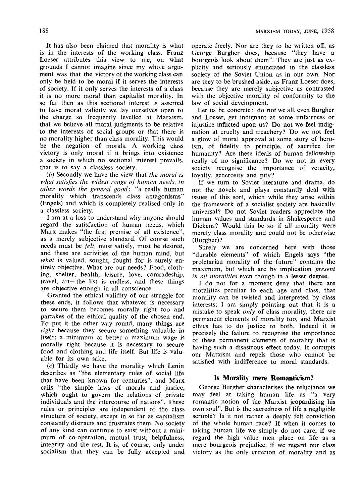It has also been claimed that morality is what is in the interests of the working class. Franz Loeser attributes this view to me, on what grounds I cannot imagine since my whole argument was that the victory of the working class can only be held to be moral if it serves the interests of society. If it only serves the interests of a class it is no more moral than capitalist morality. In so far then as this sectional interest is asserted to have moral validity we lay ourselves open to the charge so frequently levelled at Marxism, that we believe all moral judgments to be relative to the interests of social groups or that there is no morality higher than class morality. This would be the negation of morals. A working class victory is only moral if it brings into existence a society in which no sectional interest prevails, that is to say a classless society.

*(h)* Secondly we have the view that *the moral is what satisfies the widest range of human needs, in other words the general good:* "a really human morality which transcends class antagonisms" (Engels) and which is completely realised only in a classless society.

I am at a loss to understand why anyone should regard the satisfaction of human needs, which Marx makes "the first premise of all existence", as a merely subjective standard. Of course such needs must be *felt,* must satisfy, must be desired, and these are activities of the human mind, but *what* is valued, sought, fought for is surely entirely objective. What are our needs? Food, clothing, shelter, health, leisure, love, comradeship, travel, art—the list is endless, and these things are objective enough in all conscience.

Granted the ethical validity of our struggle for these ends, it follows that whatever is necessary to secure them becomes morally right too and partakes of the ethical quality of the chosen end. To put it the other way round, many things are *right* because they secure something valuable in itself; a minimum or better a maximum wage is morally right because it is necessary to secure food and clothing and life itself. But life is valuable for its own sake.

(c) Thirdly we have the morality which Lenin describes as "the elementary rules of social life that have been known for centuries", and Marx calls "the simple laws of morals and justice, which ought to govern the relations of private individuals and the intercourse of nations". These rules or principles are independent of the class structure of society, except in so far as capitalism constantly distracts and frustrates them. No society of any kind can continue to exist without a minimum of co-operation, mutual trust, helpfulness, integrity and the rest. It is, of course, only under socialism that they can be fully accepted and

operate freely. Nor are they to be written off, as George Burgher does, because "they have a bourgeois look about them". They are just as explicity and seriously enunciated in the classless society of the Soviet Union as in our own. Nor are they to be brushed aside, as Franz Loeser does, because they are merely subjective as contrasted with the objective morality of conformity to the law of social development.

Let us be concrete: do not we all, even Burgher and Loeser, get indignant at some unfairness or injustice inflicted upon us? Do not we feel indignation at cruelty and treachery? Do we not feel a glow of moral approval at some story of heroism, of fidelity to principle, of sacrifice for humanity? Are these ideals of human fellowship really of no significance? Do we not in every society recognise the importance of veracity, loyalty, generosity and pity?

If we turn to Soviet literature and drama, do not the novels and plays constantly deal with issues of this sort, which while they arise within the framework of a socialist society are basically universal? Do not Soviet readers appreciate the human values and standards in Shakespeare and Dickens? Would this be so if all morality were merely class morality and could not be otherwise (Burgher)?

Surely we are concerned here with those "durable elements" of which Engels says "the proletarian morality of the future" contains the maximum, but which are by implication *present in all moralities* even though in a lesser degree.

I do not for a moment deny that there are moralities peculiar to each age and class, that morality can be twisted and interpreted by class interests; I am simply pointing out that it is a mistake to speak *only* of class morality, there are permanent elements of morality too, and Marxist ethics has to do justice to both. Indeed it is precisely the failure to recognise the importance of these permanent elements of morality that is having such a disastrous effect today. It corrupts our Marxism and repels those who cannot be satisfied with indifference to moral standards.

### **Is Morality mere Romanticism?**

George Burgher characterises the reluctance we may feel at taking human life as "a very romantic notion of the Marxist jeopardising his own soul". But is the sacredness of life a negligible scruple? Is it not rather a deeply felt conviction of the whole human race? If when it comes to taking human life we simply do not care, if we regard the high value men place on life as a mere bourgeois prejudice, if we regard our class victory as the only criterion of morality and as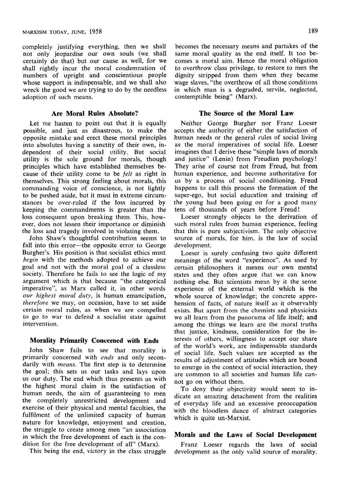completely justifying everything, then we shall not only jeopardise our own souls (we shall certainly do that) but our cause as well, for we shall rightly incur the moral condemnation of numbers of upright and conscientious people whose support is indispensable, and we shall also wreck the good we are trying to do by the needless adoption of such means.

### **Are Moral Rules Absolute?**

Let me hasten to point out that it is equally possible, and just as disastrous, to make the opposite mistake and erect these moral principles into absolutes having a sanctity of their own, independent of their social utility. But social utility is the sole ground for morals, though principles which have established themselves because of their utility come to be *felt* as right in themselves. This strong feeling about morals, this commanding voice of conscience, is not lightly to be pushed aside, but it must in extreme circumstances be over-ruled if the loss incurred by keeping the commandments is greater than the loss consequent upon breaking them. This, however, does not lessen their importance or diminish the loss and tragedy involved in violating them.

John Shaw's thoughtful contribution seems to fall into this error—the opposite error to George Burgher's. His position is that socialist ethics must *begin* with the methods adopted to achieve our goal and not with the moral goal of a classless society. Therefore he fails to see the logic of my argument which is that because "the categorical imperative", as Marx called it, in other words *our highest moral duty,* is human emancipation, *therefore* we may, on occasion, have to set aside certain moral rules, as when we are compelled to go to war to defend a socialist state against intervention.

#### **Morality Primarily Concerned with Ends**

John Shaw fails to see that morality is primarily concerned with *ends* and only secondarily with *means.* The first step is to determine the goal; this sets us our tasks and lays upon us our duty. The end which thus presents us with the highest moral claim is the satisfaction of human needs, the aim of guaranteeing to men the completely unrestricted development and exercise of their physical and mental faculties, the fulfilment of the unlimited capacity of human nature for knowledge, enjoyment and creation, the struggle to create among men "an association in which the free development of each is the condition for the free development of all" (Marx).

This being the end, victory in the class struggle

becomes the necessary means and partakes of the same moral quality as the end itself. It too becomes a moral aim. Hence the moral obligation to overthrow class privilege, to restore to men the dignity stripped from them when they became wage slaves, "the overthrow of all those conditions in which man is a degraded, servile, neglected, contemptible being" (Marx).

## **The Source of the Moral Law**

Neither George Burgher nor Franz Loeser accepts the authority of either the satisfaction of human needs or the general rules of social living as the moral imperatives of social life. Loeser imagines that I derive these "simple laws of morals and justice" (Lenin) from Freudian psychology! They arise of course not from Freud, but from human experience, and become authoritative for us by a process of social conditioning. Freud happens to call this process the formation of the super-ego, but social education and training of the young had been going on for a good many tens of thousands of years before Freud!

Loeser strongly objects to the derivation of such moral rules from human experience, feeling that this is pure subjectivism. The only objective source of morals, for him, is the law of social development.

Loeser is surely confusing two quite different meanings of the word "experience". As used by certain philosophers it means our own mental states and they often argue that we can know nothing else. But scientists mean by it the sense experience of the external world which is the whole source of knowledge; the concrete apprehension of facts, of nature itself as it observably exists. But apart from the chemists and physicists we all learn from the panorama of life itself; and among the things we learn are the moral truths that justice, kindness, consideration for the interests of others, willingness to accept our share of the world's work, are indispensable standards of social life. Such values are accepted as the results of adjustment of attitudes which are bound to emerge in the context of social interaction, they are common to all societies and human life cannot go on without them.

To deny their objectivity would seem to indicate an amazing detachment from the realities of everyday life and an excessive preoccupation with the bloodless dance of abstract categories which is quite un-Marxist.

#### **Morals and the Laws of Social Development**

Franz Loeser regards the laws of social development as the only valid source of morality.